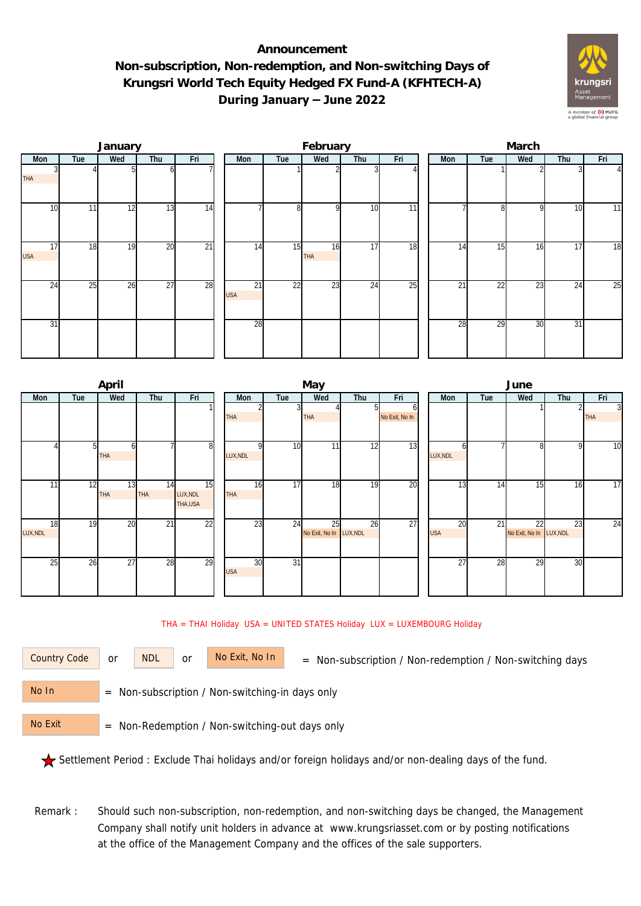## **Announcement Non-subscription, Non-redemption, and Non-switching Days of Krungsri World Tech Equity Hedged FX Fund-A (KFHTECH-A) During January – June 2022**



|                  |     | January |                 |                 |  |                  | February |                  |                 | March           |                 |                 |                 |     |              |  |
|------------------|-----|---------|-----------------|-----------------|--|------------------|----------|------------------|-----------------|-----------------|-----------------|-----------------|-----------------|-----|--------------|--|
| Mon              | Tue | Wed     | Thu             | Fri             |  | Mon              | Tue      | Wed              | Thu             | Fri             | Mon             | Tue             | Wed             | Thu | Fri          |  |
| <b>THA</b>       |     |         | h               |                 |  |                  |          |                  |                 |                 |                 |                 |                 |     | $\mathbf{I}$ |  |
| 10               | 11  | 12      | 13              | 14              |  |                  | 8        | <sup>Q</sup>     | 10              | $\overline{11}$ |                 | 8               | $\Omega$        | 10  | 11           |  |
| 17<br><b>USA</b> | 18  | 19      | 20              | $\overline{21}$ |  | 14               | 15       | 16<br><b>THA</b> | 17              | 18              | 14              | 15              | 16              | 17  | 18           |  |
| 24               | 25  | 26      | $\overline{27}$ | 28              |  | 21<br><b>USA</b> | 22       | 23               | $2\overline{4}$ | 25              | $\overline{21}$ | $\overline{22}$ | $\overline{23}$ | 24  | 25           |  |
| 31               |     |         |                 |                 |  | 28               |          |                  |                 |                 | 28              | 29              | 30              | 31  |              |  |

|                      | April     |           |                                         |                  |                 | May                           |     |                     | June             |     |                               |     |                              |  |  |
|----------------------|-----------|-----------|-----------------------------------------|------------------|-----------------|-------------------------------|-----|---------------------|------------------|-----|-------------------------------|-----|------------------------------|--|--|
| Tue<br>Mon           | Wed       | Thu       | Fri                                     | Mon              | Tue             | Wed                           | Thu | Fri                 | Mon              | Tue | Wed                           | Thu | Fri                          |  |  |
|                      |           |           |                                         | <b>THA</b>       | 3               | <b>THA</b>                    | ы   | b<br>No Exit, No In |                  |     |                               |     | $\overline{3}$<br><b>THA</b> |  |  |
|                      | 51<br>THA |           | 8                                       | LUX, NDL         | 10              | 11                            | 12  | 13                  | n<br>LUX, NDL    |     | 8                             | o   | 10                           |  |  |
| 12<br>11             | 13<br>THA | 14<br>THA | $\overline{15}$<br>LUX, NDL<br>THA, USA | 16<br><b>THA</b> | 17              | 18                            | 19  | 20                  | 13               | 14  | 15 <sub>1</sub>               | 16  | 17                           |  |  |
| 18<br>19<br>LUX, NDL | 20        | 21        | $\overline{22}$                         | 23               | 24              | 25<br>No Exit, No In LUX, NDL | 26  | 27                  | 20<br><b>USA</b> | 21  | 22<br>No Exit, No In LUX, NDL | 23  | 24                           |  |  |
| 26<br>25             | 27        | 28        | 29                                      | 30<br><b>USA</b> | $\overline{31}$ |                               |     |                     | 27               | 28  | 29                            | 30  |                              |  |  |

THA = THAI Holiday USA = UNITED STATES Holiday LUX = LUXEMBOURG Holiday

or NDL or

Country Code or NDL or No Exit, No In = Non-subscription / Non-redemption / Non-switching days

 = Non-subscription / Non-switching-in days only No In

 = Non-Redemption / Non-switching-out days only No Exit

Settlement Period : Exclude Thai holidays and/or foreign holidays and/or non-dealing days of the fund.

Remark : Should such non-subscription, non-redemption, and non-switching days be changed, the Management Company shall notify unit holders in advance at www.krungsriasset.com or by posting notifications at the office of the Management Company and the offices of the sale supporters.